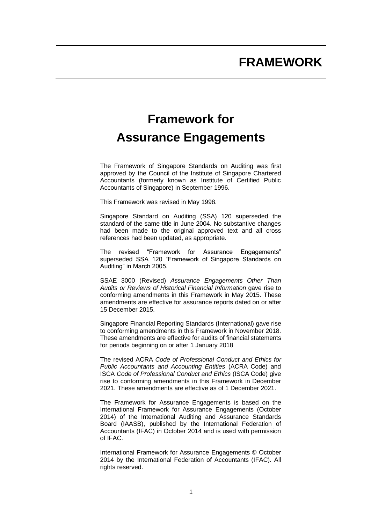# **FRAMEWORK**

# **Framework for Assurance Engagements**

The Framework of Singapore Standards on Auditing was first approved by the Council of the Institute of Singapore Chartered Accountants (formerly known as Institute of Certified Public Accountants of Singapore) in September 1996.

This Framework was revised in May 1998.

Singapore Standard on Auditing (SSA) 120 superseded the standard of the same title in June 2004. No substantive changes had been made to the original approved text and all cross references had been updated, as appropriate.

The revised "Framework for Assurance Engagements" superseded SSA 120 "Framework of Singapore Standards on Auditing" in March 2005.

SSAE 3000 (Revised) *Assurance Engagements Other Than Audits or Reviews of Historical Financial Information* gave rise to conforming amendments in this Framework in May 2015. These amendments are effective for assurance reports dated on or after 15 December 2015.

Singapore Financial Reporting Standards (International) gave rise to conforming amendments in this Framework in November 2018. These amendments are effective for audits of financial statements for periods beginning on or after 1 January 2018

The revised ACRA *Code of Professional Conduct and Ethics for Public Accountants and Accounting Entities* (ACRA Code) and ISCA *Code of Professional Conduct and Ethics* (ISCA Code) give rise to conforming amendments in this Framework in December 2021. These amendments are effective as of 1 December 2021.

The Framework for Assurance Engagements is based on the International Framework for Assurance Engagements (October 2014) of the International Auditing and Assurance Standards Board (IAASB), published by the International Federation of Accountants (IFAC) in October 2014 and is used with permission of IFAC.

International Framework for Assurance Engagements © October 2014 by the International Federation of Accountants (IFAC). All rights reserved.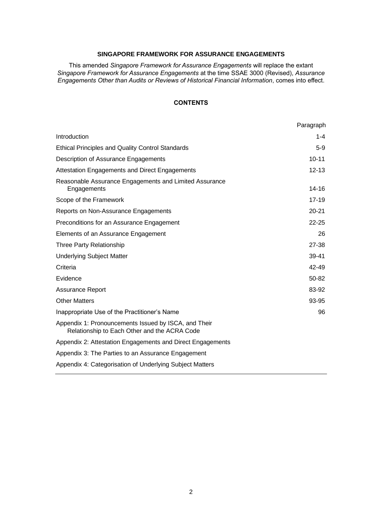#### **SINGAPORE FRAMEWORK FOR ASSURANCE ENGAGEMENTS**

This amended *Singapore Framework for Assurance Engagements* will replace the extant *Singapore Framework for Assurance Engagements* at the time SSAE 3000 (Revised), *Assurance Engagements Other than Audits or Reviews of Historical Financial Information*, comes into effect.

## **CONTENTS**

|                                                                                                      | Paragraph |
|------------------------------------------------------------------------------------------------------|-----------|
| Introduction                                                                                         | $1 - 4$   |
| <b>Ethical Principles and Quality Control Standards</b>                                              | $5-9$     |
| Description of Assurance Engagements                                                                 | $10 - 11$ |
| Attestation Engagements and Direct Engagements                                                       | $12 - 13$ |
| Reasonable Assurance Engagements and Limited Assurance<br>Engagements                                | $14 - 16$ |
| Scope of the Framework                                                                               | $17 - 19$ |
| Reports on Non-Assurance Engagements                                                                 | $20 - 21$ |
| Preconditions for an Assurance Engagement                                                            | $22 - 25$ |
| Elements of an Assurance Engagement                                                                  | 26        |
| <b>Three Party Relationship</b>                                                                      | 27-38     |
| <b>Underlying Subject Matter</b>                                                                     | $39 - 41$ |
| Criteria                                                                                             | 42-49     |
| Evidence                                                                                             | $50 - 82$ |
| <b>Assurance Report</b>                                                                              | 83-92     |
| <b>Other Matters</b>                                                                                 | 93-95     |
| Inappropriate Use of the Practitioner's Name                                                         | 96        |
| Appendix 1: Pronouncements Issued by ISCA, and Their<br>Relationship to Each Other and the ACRA Code |           |
| Appendix 2: Attestation Engagements and Direct Engagements                                           |           |
| Appendix 3: The Parties to an Assurance Engagement                                                   |           |
| Appendix 4: Categorisation of Underlying Subject Matters                                             |           |
|                                                                                                      |           |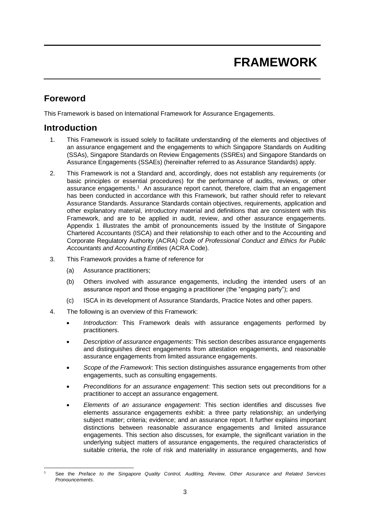# **FRAMEWORK**

## **Foreword**

This Framework is based on International Framework for Assurance Engagements.

## **Introduction**

- 1. This Framework is issued solely to facilitate understanding of the elements and objectives of an assurance engagement and the engagements to which Singapore Standards on Auditing (SSAs), Singapore Standards on Review Engagements (SSREs) and Singapore Standards on Assurance Engagements (SSAEs) (hereinafter referred to as Assurance Standards) apply.
- 2. This Framework is not a Standard and, accordingly, does not establish any requirements (or basic principles or essential procedures) for the performance of audits, reviews, or other assurance engagements.<sup>1</sup> An assurance report cannot, therefore, claim that an engagement has been conducted in accordance with this Framework, but rather should refer to relevant Assurance Standards. Assurance Standards contain objectives, requirements, application and other explanatory material, introductory material and definitions that are consistent with this Framework, and are to be applied in audit, review, and other assurance engagements. Appendix 1 illustrates the ambit of pronouncements issued by the Institute of Singapore Chartered Accountants (ISCA) and their relationship to each other and to the Accounting and Corporate Regulatory Authority (ACRA) *Code of Professional Conduct and Ethics for Public Accountants and Accounting Entities* (ACRA Code).
- 3. This Framework provides a frame of reference for
	- (a) Assurance practitioners;
	- (b) Others involved with assurance engagements, including the intended users of an assurance report and those engaging a practitioner (the "engaging party"); and
	- (c) ISCA in its development of Assurance Standards, Practice Notes and other papers.
- 4. The following is an overview of this Framework:
	- *Introduction*: This Framework deals with assurance engagements performed by practitioners.
	- *Description of assurance engagements*: This section describes assurance engagements and distinguishes direct engagements from attestation engagements, and reasonable assurance engagements from limited assurance engagements.
	- *Scope of the Framework*: This section distinguishes assurance engagements from other engagements, such as consulting engagements.
	- *Preconditions for an assurance engagement*: This section sets out preconditions for a practitioner to accept an assurance engagement.
	- *Elements of an assurance engagement*: This section identifies and discusses five elements assurance engagements exhibit: a three party relationship; an underlying subject matter; criteria; evidence; and an assurance report. It further explains important distinctions between reasonable assurance engagements and limited assurance engagements. This section also discusses, for example, the significant variation in the underlying subject matters of assurance engagements, the required characteristics of suitable criteria, the role of risk and materiality in assurance engagements, and how

<sup>1</sup> See the *Preface to the Singapore Quality Control, Auditing, Review, Other Assurance and Related Services Pronouncements*.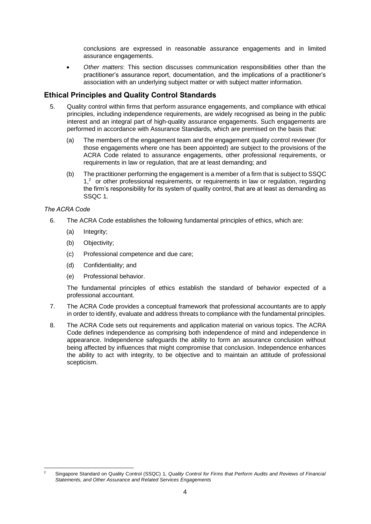conclusions are expressed in reasonable assurance engagements and in limited assurance engagements.

• *Other matters*: This section discusses communication responsibilities other than the practitioner's assurance report, documentation, and the implications of a practitioner's association with an underlying subject matter or with subject matter information.

## **Ethical Principles and Quality Control Standards**

- 5. Quality control within firms that perform assurance engagements, and compliance with ethical principles, including independence requirements, are widely recognised as being in the public interest and an integral part of high-quality assurance engagements. Such engagements are performed in accordance with Assurance Standards, which are premised on the basis that:
	- (a) The members of the engagement team and the engagement quality control reviewer (for those engagements where one has been appointed) are subject to the provisions of the ACRA Code related to assurance engagements, other professional requirements, or requirements in law or regulation, that are at least demanding; and
	- (b) The practitioner performing the engagement is a member of a firm that is subject to SSQC 1,<sup>2</sup> or other professional requirements, or requirements in law or regulation, regarding the firm's responsibility for its system of quality control, that are at least as demanding as SSQC 1.

#### *The ACRA Code*

- 6. The ACRA Code establishes the following fundamental principles of ethics, which are:
	- (a) Integrity;
	- (b) Objectivity;
	- (c) Professional competence and due care;
	- (d) Confidentiality; and
	- (e) Professional behavior.

The fundamental principles of ethics establish the standard of behavior expected of a professional accountant.

- 7. The ACRA Code provides a conceptual framework that professional accountants are to apply in order to identify, evaluate and address threats to compliance with the fundamental principles.
- 8. The ACRA Code sets out requirements and application material on various topics. The ACRA Code defines independence as comprising both independence of mind and independence in appearance. Independence safeguards the ability to form an assurance conclusion without being affected by influences that might compromise that conclusion. Independence enhances the ability to act with integrity, to be objective and to maintain an attitude of professional scepticism.

<sup>2</sup> Singapore Standard on Quality Control (SSQC) 1, *Quality Control for Firms that Perform Audits and Reviews of Financial Statements, and Other Assurance and Related Services Engagements*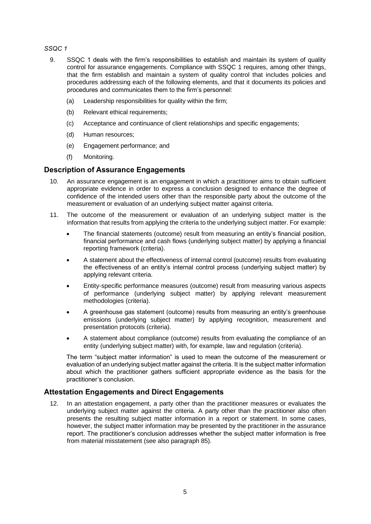#### *SSQC 1*

- 9. SSQC 1 deals with the firm's responsibilities to establish and maintain its system of quality control for assurance engagements. Compliance with SSQC 1 requires, among other things, that the firm establish and maintain a system of quality control that includes policies and procedures addressing each of the following elements, and that it documents its policies and procedures and communicates them to the firm's personnel:
	- (a) Leadership responsibilities for quality within the firm;
	- (b) Relevant ethical requirements;
	- (c) Acceptance and continuance of client relationships and specific engagements;
	- (d) Human resources;
	- (e) Engagement performance; and
	- (f) Monitoring.

### **Description of Assurance Engagements**

- 10. An assurance engagement is an engagement in which a practitioner aims to obtain sufficient appropriate evidence in order to express a conclusion designed to enhance the degree of confidence of the intended users other than the responsible party about the outcome of the measurement or evaluation of an underlying subject matter against criteria.
- 11. The outcome of the measurement or evaluation of an underlying subject matter is the information that results from applying the criteria to the underlying subject matter. For example:
	- The financial statements (outcome) result from measuring an entity's financial position, financial performance and cash flows (underlying subject matter) by applying a financial reporting framework (criteria).
	- A statement about the effectiveness of internal control (outcome) results from evaluating the effectiveness of an entity's internal control process (underlying subject matter) by applying relevant criteria.
	- Entity-specific performance measures (outcome) result from measuring various aspects of performance (underlying subject matter) by applying relevant measurement methodologies (criteria).
	- A greenhouse gas statement (outcome) results from measuring an entity's greenhouse emissions (underlying subject matter) by applying recognition, measurement and presentation protocols (criteria).
	- A statement about compliance (outcome) results from evaluating the compliance of an entity (underlying subject matter) with, for example, law and regulation (criteria).

The term "subject matter information" is used to mean the outcome of the measurement or evaluation of an underlying subject matter against the criteria. It is the subject matter information about which the practitioner gathers sufficient appropriate evidence as the basis for the practitioner's conclusion.

## **Attestation Engagements and Direct Engagements**

12. In an attestation engagement, a party other than the practitioner measures or evaluates the underlying subject matter against the criteria. A party other than the practitioner also often presents the resulting subject matter information in a report or statement. In some cases, however, the subject matter information may be presented by the practitioner in the assurance report. The practitioner's conclusion addresses whether the subject matter information is free from material misstatement (see also paragraph 85).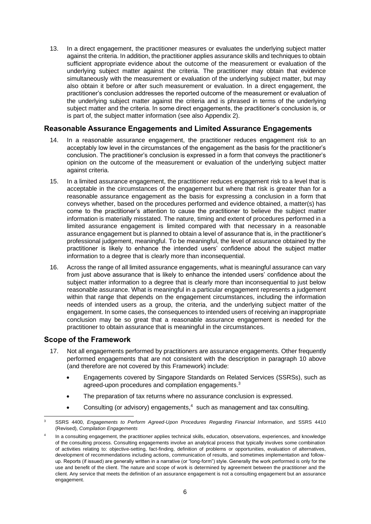13. In a direct engagement, the practitioner measures or evaluates the underlying subject matter against the criteria. In addition, the practitioner applies assurance skills and techniques to obtain sufficient appropriate evidence about the outcome of the measurement or evaluation of the underlying subject matter against the criteria. The practitioner may obtain that evidence simultaneously with the measurement or evaluation of the underlying subject matter, but may also obtain it before or after such measurement or evaluation. In a direct engagement, the practitioner's conclusion addresses the reported outcome of the measurement or evaluation of the underlying subject matter against the criteria and is phrased in terms of the underlying subject matter and the criteria. In some direct engagements, the practitioner's conclusion is, or is part of, the subject matter information (see also Appendix 2).

### **Reasonable Assurance Engagements and Limited Assurance Engagements**

- 14. In a reasonable assurance engagement, the practitioner reduces engagement risk to an acceptably low level in the circumstances of the engagement as the basis for the practitioner's conclusion. The practitioner's conclusion is expressed in a form that conveys the practitioner's opinion on the outcome of the measurement or evaluation of the underlying subject matter against criteria.
- 15. In a limited assurance engagement, the practitioner reduces engagement risk to a level that is acceptable in the circumstances of the engagement but where that risk is greater than for a reasonable assurance engagement as the basis for expressing a conclusion in a form that conveys whether, based on the procedures performed and evidence obtained, a matter(s) has come to the practitioner's attention to cause the practitioner to believe the subject matter information is materially misstated. The nature, timing and extent of procedures performed in a limited assurance engagement is limited compared with that necessary in a reasonable assurance engagement but is planned to obtain a level of assurance that is, in the practitioner's professional judgement, meaningful. To be meaningful, the level of assurance obtained by the practitioner is likely to enhance the intended users' confidence about the subject matter information to a degree that is clearly more than inconsequential.
- 16. Across the range of all limited assurance engagements, what is meaningful assurance can vary from just above assurance that is likely to enhance the intended users' confidence about the subject matter information to a degree that is clearly more than inconsequential to just below reasonable assurance. What is meaningful in a particular engagement represents a judgement within that range that depends on the engagement circumstances, including the information needs of intended users as a group, the criteria, and the underlying subject matter of the engagement. In some cases, the consequences to intended users of receiving an inappropriate conclusion may be so great that a reasonable assurance engagement is needed for the practitioner to obtain assurance that is meaningful in the circumstances.

## **Scope of the Framework**

- 17. Not all engagements performed by practitioners are assurance engagements. Other frequently performed engagements that are not consistent with the description in paragraph 10 above (and therefore are not covered by this Framework) include:
	- Engagements covered by Singapore Standards on Related Services (SSRSs), such as agreed-upon procedures and compilation engagements.<sup>3</sup>
	- The preparation of tax returns where no assurance conclusion is expressed.
	- Consulting (or advisory) engagements, $4$  such as management and tax consulting.

<sup>3</sup> SSRS 4400, *Engagements to Perform Agreed-Upon Procedures Regarding Financial Information*, and SSRS 4410 (Revised), *Compilation Engagements*

<sup>4</sup> In a consulting engagement, the practitioner applies technical skills, education, observations, experiences, and knowledge of the consulting process. Consulting engagements involve an analytical process that typically involves some combination of activities relating to: objective-setting, fact-finding, definition of problems or opportunities, evaluation of alternatives, development of recommendations including actions, communication of results, and sometimes implementation and followup. Reports (if issued) are generally written in a narrative (or "long-form") style. Generally the work performed is only for the use and benefit of the client. The nature and scope of work is determined by agreement between the practitioner and the client. Any service that meets the definition of an assurance engagement is not a consulting engagement but an assurance engagement.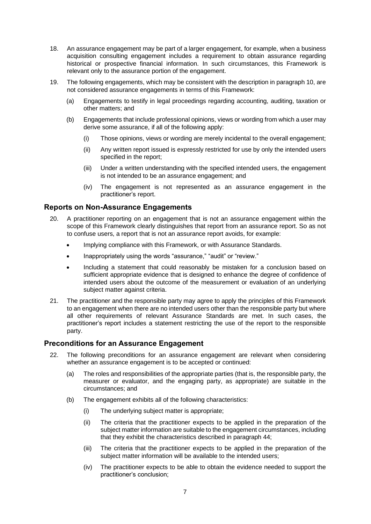- 18. An assurance engagement may be part of a larger engagement, for example, when a business acquisition consulting engagement includes a requirement to obtain assurance regarding historical or prospective financial information. In such circumstances, this Framework is relevant only to the assurance portion of the engagement.
- 19. The following engagements, which may be consistent with the description in paragraph 10, are not considered assurance engagements in terms of this Framework:
	- (a) Engagements to testify in legal proceedings regarding accounting, auditing, taxation or other matters; and
	- (b) Engagements that include professional opinions, views or wording from which a user may derive some assurance, if all of the following apply:
		- (i) Those opinions, views or wording are merely incidental to the overall engagement;
		- (ii) Any written report issued is expressly restricted for use by only the intended users specified in the report;
		- (iii) Under a written understanding with the specified intended users, the engagement is not intended to be an assurance engagement; and
		- (iv) The engagement is not represented as an assurance engagement in the practitioner's report.

#### **Reports on Non-Assurance Engagements**

- 20. A practitioner reporting on an engagement that is not an assurance engagement within the scope of this Framework clearly distinguishes that report from an assurance report. So as not to confuse users, a report that is not an assurance report avoids, for example:
	- Implying compliance with this Framework, or with Assurance Standards.
	- Inappropriately using the words "assurance," "audit" or "review."
	- Including a statement that could reasonably be mistaken for a conclusion based on sufficient appropriate evidence that is designed to enhance the degree of confidence of intended users about the outcome of the measurement or evaluation of an underlying subject matter against criteria.
- 21. The practitioner and the responsible party may agree to apply the principles of this Framework to an engagement when there are no intended users other than the responsible party but where all other requirements of relevant Assurance Standards are met. In such cases, the practitioner's report includes a statement restricting the use of the report to the responsible party.

#### **Preconditions for an Assurance Engagement**

- 22. The following preconditions for an assurance engagement are relevant when considering whether an assurance engagement is to be accepted or continued:
	- (a) The roles and responsibilities of the appropriate parties (that is, the responsible party, the measurer or evaluator, and the engaging party, as appropriate) are suitable in the circumstances; and
	- (b) The engagement exhibits all of the following characteristics:
		- (i) The underlying subject matter is appropriate;
		- (ii) The criteria that the practitioner expects to be applied in the preparation of the subject matter information are suitable to the engagement circumstances, including that they exhibit the characteristics described in paragraph 44;
		- (iii) The criteria that the practitioner expects to be applied in the preparation of the subject matter information will be available to the intended users;
		- (iv) The practitioner expects to be able to obtain the evidence needed to support the practitioner's conclusion;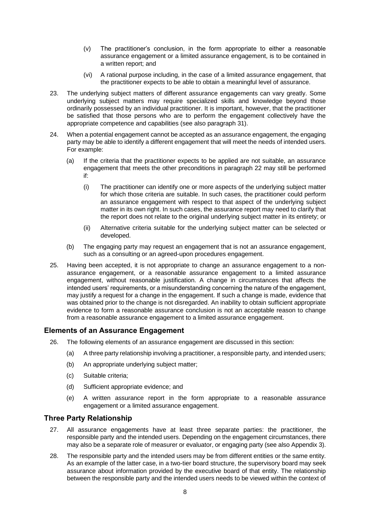- (v) The practitioner's conclusion, in the form appropriate to either a reasonable assurance engagement or a limited assurance engagement, is to be contained in a written report; and
- (vi) A rational purpose including, in the case of a limited assurance engagement, that the practitioner expects to be able to obtain a meaningful level of assurance.
- 23. The underlying subject matters of different assurance engagements can vary greatly. Some underlying subject matters may require specialized skills and knowledge beyond those ordinarily possessed by an individual practitioner. It is important, however, that the practitioner be satisfied that those persons who are to perform the engagement collectively have the appropriate competence and capabilities (see also paragraph 31).
- 24. When a potential engagement cannot be accepted as an assurance engagement, the engaging party may be able to identify a different engagement that will meet the needs of intended users. For example:
	- (a) If the criteria that the practitioner expects to be applied are not suitable, an assurance engagement that meets the other preconditions in paragraph 22 may still be performed if:
		- (i) The practitioner can identify one or more aspects of the underlying subject matter for which those criteria are suitable. In such cases, the practitioner could perform an assurance engagement with respect to that aspect of the underlying subject matter in its own right. In such cases, the assurance report may need to clarify that the report does not relate to the original underlying subject matter in its entirety; or
		- (ii) Alternative criteria suitable for the underlying subject matter can be selected or developed.
	- (b) The engaging party may request an engagement that is not an assurance engagement, such as a consulting or an agreed-upon procedures engagement.
- 25. Having been accepted, it is not appropriate to change an assurance engagement to a nonassurance engagement, or a reasonable assurance engagement to a limited assurance engagement, without reasonable justification. A change in circumstances that affects the intended users' requirements, or a misunderstanding concerning the nature of the engagement, may justify a request for a change in the engagement. If such a change is made, evidence that was obtained prior to the change is not disregarded. An inability to obtain sufficient appropriate evidence to form a reasonable assurance conclusion is not an acceptable reason to change from a reasonable assurance engagement to a limited assurance engagement.

#### **Elements of an Assurance Engagement**

- 26. The following elements of an assurance engagement are discussed in this section:
	- (a) A three party relationship involving a practitioner, a responsible party, and intended users;
	- (b) An appropriate underlying subject matter;
	- (c) Suitable criteria;
	- (d) Sufficient appropriate evidence; and
	- (e) A written assurance report in the form appropriate to a reasonable assurance engagement or a limited assurance engagement.

#### **Three Party Relationship**

- 27. All assurance engagements have at least three separate parties: the practitioner, the responsible party and the intended users. Depending on the engagement circumstances, there may also be a separate role of measurer or evaluator, or engaging party (see also Appendix 3).
- 28. The responsible party and the intended users may be from different entities or the same entity. As an example of the latter case, in a two-tier board structure, the supervisory board may seek assurance about information provided by the executive board of that entity. The relationship between the responsible party and the intended users needs to be viewed within the context of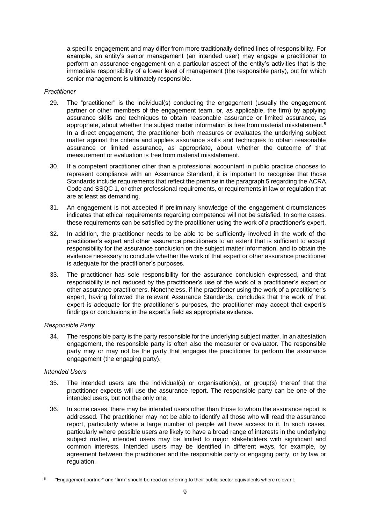a specific engagement and may differ from more traditionally defined lines of responsibility. For example, an entity's senior management (an intended user) may engage a practitioner to perform an assurance engagement on a particular aspect of the entity's activities that is the immediate responsibility of a lower level of management (the responsible party), but for which senior management is ultimately responsible.

#### *Practitioner*

- 29. The "practitioner" is the individual(s) conducting the engagement (usually the engagement partner or other members of the engagement team, or, as applicable, the firm) by applying assurance skills and techniques to obtain reasonable assurance or limited assurance, as appropriate, about whether the subject matter information is free from material misstatement.<sup>5</sup> In a direct engagement, the practitioner both measures or evaluates the underlying subject matter against the criteria and applies assurance skills and techniques to obtain reasonable assurance or limited assurance, as appropriate, about whether the outcome of that measurement or evaluation is free from material misstatement.
- 30. If a competent practitioner other than a professional accountant in public practice chooses to represent compliance with an Assurance Standard, it is important to recognise that those Standards include requirements that reflect the premise in the paragraph 5 regarding the ACRA Code and SSQC 1, or other professional requirements, or requirements in law or regulation that are at least as demanding.
- 31. An engagement is not accepted if preliminary knowledge of the engagement circumstances indicates that ethical requirements regarding competence will not be satisfied. In some cases, these requirements can be satisfied by the practitioner using the work of a practitioner's expert.
- 32. In addition, the practitioner needs to be able to be sufficiently involved in the work of the practitioner's expert and other assurance practitioners to an extent that is sufficient to accept responsibility for the assurance conclusion on the subject matter information, and to obtain the evidence necessary to conclude whether the work of that expert or other assurance practitioner is adequate for the practitioner's purposes.
- 33. The practitioner has sole responsibility for the assurance conclusion expressed, and that responsibility is not reduced by the practitioner's use of the work of a practitioner's expert or other assurance practitioners. Nonetheless, if the practitioner using the work of a practitioner's expert, having followed the relevant Assurance Standards, concludes that the work of that expert is adequate for the practitioner's purposes, the practitioner may accept that expert's findings or conclusions in the expert's field as appropriate evidence.

#### *Responsible Party*

34. The responsible party is the party responsible for the underlying subject matter. In an attestation engagement, the responsible party is often also the measurer or evaluator. The responsible party may or may not be the party that engages the practitioner to perform the assurance engagement (the engaging party).

#### *Intended Users*

- 35. The intended users are the individual(s) or organisation(s), or group(s) thereof that the practitioner expects will use the assurance report. The responsible party can be one of the intended users, but not the only one.
- 36. In some cases, there may be intended users other than those to whom the assurance report is addressed. The practitioner may not be able to identify all those who will read the assurance report, particularly where a large number of people will have access to it. In such cases, particularly where possible users are likely to have a broad range of interests in the underlying subject matter, intended users may be limited to major stakeholders with significant and common interests. Intended users may be identified in different ways, for example, by agreement between the practitioner and the responsible party or engaging party, or by law or regulation.

<sup>5</sup> "Engagement partner" and "firm" should be read as referring to their public sector equivalents where relevant.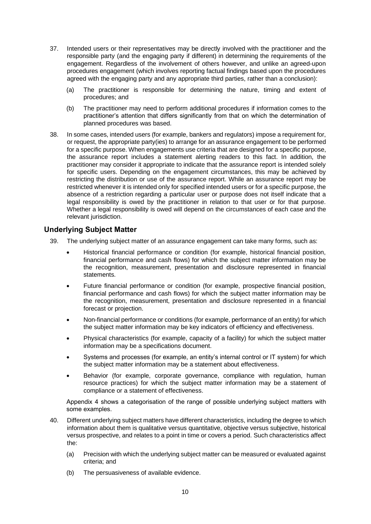- 37. Intended users or their representatives may be directly involved with the practitioner and the responsible party (and the engaging party if different) in determining the requirements of the engagement. Regardless of the involvement of others however, and unlike an agreed-upon procedures engagement (which involves reporting factual findings based upon the procedures agreed with the engaging party and any appropriate third parties, rather than a conclusion):
	- (a) The practitioner is responsible for determining the nature, timing and extent of procedures; and
	- (b) The practitioner may need to perform additional procedures if information comes to the practitioner's attention that differs significantly from that on which the determination of planned procedures was based.
- 38. In some cases, intended users (for example, bankers and regulators) impose a requirement for, or request, the appropriate party(ies) to arrange for an assurance engagement to be performed for a specific purpose. When engagements use criteria that are designed for a specific purpose, the assurance report includes a statement alerting readers to this fact. In addition, the practitioner may consider it appropriate to indicate that the assurance report is intended solely for specific users. Depending on the engagement circumstances, this may be achieved by restricting the distribution or use of the assurance report. While an assurance report may be restricted whenever it is intended only for specified intended users or for a specific purpose, the absence of a restriction regarding a particular user or purpose does not itself indicate that a legal responsibility is owed by the practitioner in relation to that user or for that purpose. Whether a legal responsibility is owed will depend on the circumstances of each case and the relevant jurisdiction.

#### **Underlying Subject Matter**

- 39. The underlying subject matter of an assurance engagement can take many forms, such as:
	- Historical financial performance or condition (for example, historical financial position, financial performance and cash flows) for which the subject matter information may be the recognition, measurement, presentation and disclosure represented in financial statements.
	- Future financial performance or condition (for example, prospective financial position, financial performance and cash flows) for which the subject matter information may be the recognition, measurement, presentation and disclosure represented in a financial forecast or projection.
	- Non-financial performance or conditions (for example, performance of an entity) for which the subject matter information may be key indicators of efficiency and effectiveness.
	- Physical characteristics (for example, capacity of a facility) for which the subject matter information may be a specifications document.
	- Systems and processes (for example, an entity's internal control or IT system) for which the subject matter information may be a statement about effectiveness.
	- Behavior (for example, corporate governance, compliance with regulation, human resource practices) for which the subject matter information may be a statement of compliance or a statement of effectiveness.

Appendix 4 shows a categorisation of the range of possible underlying subject matters with some examples.

- 40. Different underlying subject matters have different characteristics, including the degree to which information about them is qualitative versus quantitative, objective versus subjective, historical versus prospective, and relates to a point in time or covers a period. Such characteristics affect the:
	- (a) Precision with which the underlying subject matter can be measured or evaluated against criteria; and
	- (b) The persuasiveness of available evidence.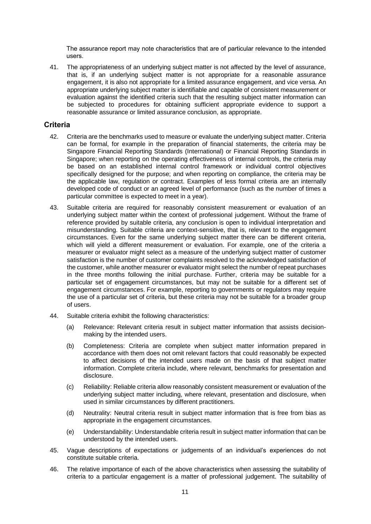The assurance report may note characteristics that are of particular relevance to the intended users.

41. The appropriateness of an underlying subject matter is not affected by the level of assurance, that is, if an underlying subject matter is not appropriate for a reasonable assurance engagement, it is also not appropriate for a limited assurance engagement, and vice versa. An appropriate underlying subject matter is identifiable and capable of consistent measurement or evaluation against the identified criteria such that the resulting subject matter information can be subjected to procedures for obtaining sufficient appropriate evidence to support a reasonable assurance or limited assurance conclusion, as appropriate.

#### **Criteria**

- 42. Criteria are the benchmarks used to measure or evaluate the underlying subject matter. Criteria can be formal, for example in the preparation of financial statements, the criteria may be Singapore Financial Reporting Standards (International) or Financial Reporting Standards in Singapore; when reporting on the operating effectiveness of internal controls, the criteria may be based on an established internal control framework or individual control objectives specifically designed for the purpose; and when reporting on compliance, the criteria may be the applicable law, regulation or contract. Examples of less formal criteria are an internally developed code of conduct or an agreed level of performance (such as the number of times a particular committee is expected to meet in a year).
- 43. Suitable criteria are required for reasonably consistent measurement or evaluation of an underlying subject matter within the context of professional judgement. Without the frame of reference provided by suitable criteria, any conclusion is open to individual interpretation and misunderstanding. Suitable criteria are context-sensitive, that is, relevant to the engagement circumstances. Even for the same underlying subject matter there can be different criteria, which will yield a different measurement or evaluation. For example, one of the criteria a measurer or evaluator might select as a measure of the underlying subject matter of customer satisfaction is the number of customer complaints resolved to the acknowledged satisfaction of the customer, while another measurer or evaluator might select the number of repeat purchases in the three months following the initial purchase. Further, criteria may be suitable for a particular set of engagement circumstances, but may not be suitable for a different set of engagement circumstances. For example, reporting to governments or regulators may require the use of a particular set of criteria, but these criteria may not be suitable for a broader group of users.
- 44. Suitable criteria exhibit the following characteristics:
	- (a) Relevance: Relevant criteria result in subject matter information that assists decisionmaking by the intended users.
	- (b) Completeness: Criteria are complete when subject matter information prepared in accordance with them does not omit relevant factors that could reasonably be expected to affect decisions of the intended users made on the basis of that subject matter information. Complete criteria include, where relevant, benchmarks for presentation and disclosure.
	- (c) Reliability: Reliable criteria allow reasonably consistent measurement or evaluation of the underlying subject matter including, where relevant, presentation and disclosure, when used in similar circumstances by different practitioners.
	- (d) Neutrality: Neutral criteria result in subject matter information that is free from bias as appropriate in the engagement circumstances.
	- (e) Understandability: Understandable criteria result in subject matter information that can be understood by the intended users.
- 45. Vague descriptions of expectations or judgements of an individual's experiences do not constitute suitable criteria.
- 46. The relative importance of each of the above characteristics when assessing the suitability of criteria to a particular engagement is a matter of professional judgement. The suitability of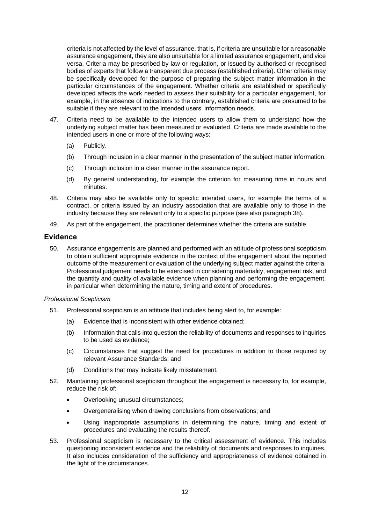criteria is not affected by the level of assurance, that is, if criteria are unsuitable for a reasonable assurance engagement, they are also unsuitable for a limited assurance engagement, and vice versa. Criteria may be prescribed by law or regulation, or issued by authorised or recognised bodies of experts that follow a transparent due process (established criteria). Other criteria may be specifically developed for the purpose of preparing the subject matter information in the particular circumstances of the engagement. Whether criteria are established or specifically developed affects the work needed to assess their suitability for a particular engagement, for example, in the absence of indications to the contrary, established criteria are presumed to be suitable if they are relevant to the intended users' information needs.

- 47. Criteria need to be available to the intended users to allow them to understand how the underlying subject matter has been measured or evaluated. Criteria are made available to the intended users in one or more of the following ways:
	- (a) Publicly.
	- (b) Through inclusion in a clear manner in the presentation of the subject matter information.
	- (c) Through inclusion in a clear manner in the assurance report.
	- (d) By general understanding, for example the criterion for measuring time in hours and minutes.
- 48. Criteria may also be available only to specific intended users, for example the terms of a contract, or criteria issued by an industry association that are available only to those in the industry because they are relevant only to a specific purpose (see also paragraph 38).
- 49. As part of the engagement, the practitioner determines whether the criteria are suitable.

#### **Evidence**

50. Assurance engagements are planned and performed with an attitude of professional scepticism to obtain sufficient appropriate evidence in the context of the engagement about the reported outcome of the measurement or evaluation of the underlying subject matter against the criteria. Professional judgement needs to be exercised in considering materiality, engagement risk, and the quantity and quality of available evidence when planning and performing the engagement, in particular when determining the nature, timing and extent of procedures.

#### *Professional Scepticism*

- 51. Professional scepticism is an attitude that includes being alert to, for example:
	- (a) Evidence that is inconsistent with other evidence obtained;
	- (b) Information that calls into question the reliability of documents and responses to inquiries to be used as evidence;
	- (c) Circumstances that suggest the need for procedures in addition to those required by relevant Assurance Standards; and
	- (d) Conditions that may indicate likely misstatement.
- 52. Maintaining professional scepticism throughout the engagement is necessary to, for example, reduce the risk of:
	- Overlooking unusual circumstances;
	- Overgeneralising when drawing conclusions from observations; and
	- Using inappropriate assumptions in determining the nature, timing and extent of procedures and evaluating the results thereof.
- 53. Professional scepticism is necessary to the critical assessment of evidence. This includes questioning inconsistent evidence and the reliability of documents and responses to inquiries. It also includes consideration of the sufficiency and appropriateness of evidence obtained in the light of the circumstances.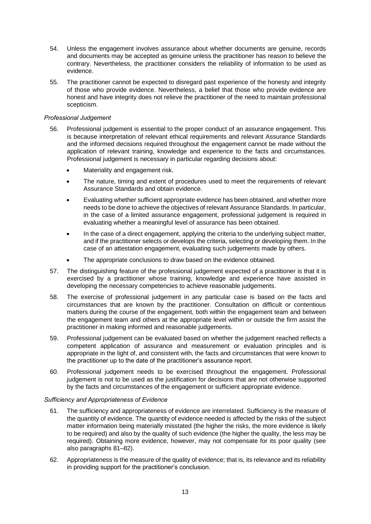- 54. Unless the engagement involves assurance about whether documents are genuine, records and documents may be accepted as genuine unless the practitioner has reason to believe the contrary. Nevertheless, the practitioner considers the reliability of information to be used as evidence.
- 55. The practitioner cannot be expected to disregard past experience of the honesty and integrity of those who provide evidence. Nevertheless, a belief that those who provide evidence are honest and have integrity does not relieve the practitioner of the need to maintain professional scepticism.

#### *Professional Judgement*

- 56. Professional judgement is essential to the proper conduct of an assurance engagement. This is because interpretation of relevant ethical requirements and relevant Assurance Standards and the informed decisions required throughout the engagement cannot be made without the application of relevant training, knowledge and experience to the facts and circumstances. Professional judgement is necessary in particular regarding decisions about:
	- Materiality and engagement risk.
	- The nature, timing and extent of procedures used to meet the requirements of relevant Assurance Standards and obtain evidence.
	- Evaluating whether sufficient appropriate evidence has been obtained, and whether more needs to be done to achieve the objectives of relevant Assurance Standards. In particular, in the case of a limited assurance engagement, professional judgement is required in evaluating whether a meaningful level of assurance has been obtained.
	- In the case of a direct engagement, applying the criteria to the underlying subject matter, and if the practitioner selects or develops the criteria, selecting or developing them. In the case of an attestation engagement, evaluating such judgements made by others.
	- The appropriate conclusions to draw based on the evidence obtained.
- 57. The distinguishing feature of the professional judgement expected of a practitioner is that it is exercised by a practitioner whose training, knowledge and experience have assisted in developing the necessary competencies to achieve reasonable judgements.
- 58. The exercise of professional judgement in any particular case is based on the facts and circumstances that are known by the practitioner. Consultation on difficult or contentious matters during the course of the engagement, both within the engagement team and between the engagement team and others at the appropriate level within or outside the firm assist the practitioner in making informed and reasonable judgements.
- 59. Professional judgement can be evaluated based on whether the judgement reached reflects a competent application of assurance and measurement or evaluation principles and is appropriate in the light of, and consistent with, the facts and circumstances that were known to the practitioner up to the date of the practitioner's assurance report.
- 60. Professional judgement needs to be exercised throughout the engagement. Professional judgement is not to be used as the justification for decisions that are not otherwise supported by the facts and circumstances of the engagement or sufficient appropriate evidence.

#### *Sufficiency and Appropriateness of Evidence*

- 61. The sufficiency and appropriateness of evidence are interrelated. Sufficiency is the measure of the quantity of evidence. The quantity of evidence needed is affected by the risks of the subject matter information being materially misstated (the higher the risks, the more evidence is likely to be required) and also by the quality of such evidence (the higher the quality, the less may be required). Obtaining more evidence, however, may not compensate for its poor quality (see also paragraphs 81–82).
- 62. Appropriateness is the measure of the quality of evidence; that is, its relevance and its reliability in providing support for the practitioner's conclusion.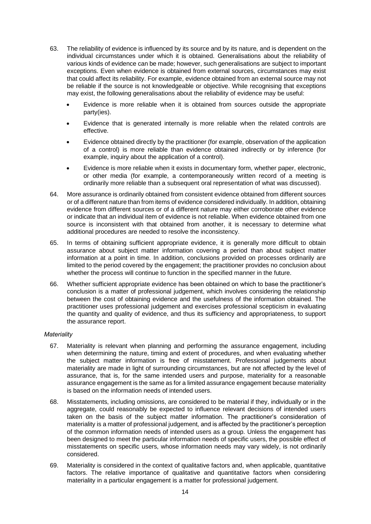- 63. The reliability of evidence is influenced by its source and by its nature, and is dependent on the individual circumstances under which it is obtained. Generalisations about the reliability of various kinds of evidence can be made; however, such generalisations are subject to important exceptions. Even when evidence is obtained from external sources, circumstances may exist that could affect its reliability. For example, evidence obtained from an external source may not be reliable if the source is not knowledgeable or objective. While recognising that exceptions may exist, the following generalisations about the reliability of evidence may be useful:
	- Evidence is more reliable when it is obtained from sources outside the appropriate party(ies).
	- Evidence that is generated internally is more reliable when the related controls are effective.
	- Evidence obtained directly by the practitioner (for example, observation of the application of a control) is more reliable than evidence obtained indirectly or by inference (for example, inquiry about the application of a control).
	- Evidence is more reliable when it exists in documentary form, whether paper, electronic, or other media (for example, a contemporaneously written record of a meeting is ordinarily more reliable than a subsequent oral representation of what was discussed).
- 64. More assurance is ordinarily obtained from consistent evidence obtained from different sources or of a different nature than from items of evidence considered individually. In addition, obtaining evidence from different sources or of a different nature may either corroborate other evidence or indicate that an individual item of evidence is not reliable. When evidence obtained from one source is inconsistent with that obtained from another, it is necessary to determine what additional procedures are needed to resolve the inconsistency.
- 65. In terms of obtaining sufficient appropriate evidence, it is generally more difficult to obtain assurance about subject matter information covering a period than about subject matter information at a point in time. In addition, conclusions provided on processes ordinarily are limited to the period covered by the engagement; the practitioner provides no conclusion about whether the process will continue to function in the specified manner in the future.
- 66. Whether sufficient appropriate evidence has been obtained on which to base the practitioner's conclusion is a matter of professional judgement, which involves considering the relationship between the cost of obtaining evidence and the usefulness of the information obtained. The practitioner uses professional judgement and exercises professional scepticism in evaluating the quantity and quality of evidence, and thus its sufficiency and appropriateness, to support the assurance report.

#### *Materiality*

- 67. Materiality is relevant when planning and performing the assurance engagement, including when determining the nature, timing and extent of procedures, and when evaluating whether the subject matter information is free of misstatement. Professional judgements about materiality are made in light of surrounding circumstances, but are not affected by the level of assurance, that is, for the same intended users and purpose, materiality for a reasonable assurance engagement is the same as for a limited assurance engagement because materiality is based on the information needs of intended users.
- 68. Misstatements, including omissions, are considered to be material if they, individually or in the aggregate, could reasonably be expected to influence relevant decisions of intended users taken on the basis of the subject matter information. The practitioner's consideration of materiality is a matter of professional judgement, and is affected by the practitioner's perception of the common information needs of intended users as a group. Unless the engagement has been designed to meet the particular information needs of specific users, the possible effect of misstatements on specific users, whose information needs may vary widely, is not ordinarily considered.
- 69. Materiality is considered in the context of qualitative factors and, when applicable, quantitative factors. The relative importance of qualitative and quantitative factors when considering materiality in a particular engagement is a matter for professional judgement.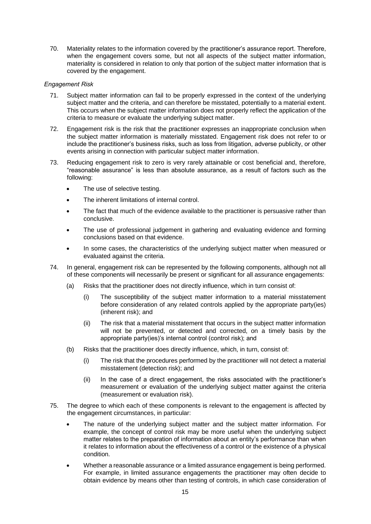70. Materiality relates to the information covered by the practitioner's assurance report. Therefore, when the engagement covers some, but not all aspects of the subject matter information, materiality is considered in relation to only that portion of the subject matter information that is covered by the engagement.

#### *Engagement Risk*

- 71. Subject matter information can fail to be properly expressed in the context of the underlying subject matter and the criteria, and can therefore be misstated, potentially to a material extent. This occurs when the subject matter information does not properly reflect the application of the criteria to measure or evaluate the underlying subject matter.
- 72. Engagement risk is the risk that the practitioner expresses an inappropriate conclusion when the subject matter information is materially misstated. Engagement risk does not refer to or include the practitioner's business risks, such as loss from litigation, adverse publicity, or other events arising in connection with particular subject matter information.
- 73. Reducing engagement risk to zero is very rarely attainable or cost beneficial and, therefore, "reasonable assurance" is less than absolute assurance, as a result of factors such as the following:
	- The use of selective testing.
	- The inherent limitations of internal control.
	- The fact that much of the evidence available to the practitioner is persuasive rather than conclusive.
	- The use of professional judgement in gathering and evaluating evidence and forming conclusions based on that evidence.
	- In some cases, the characteristics of the underlying subject matter when measured or evaluated against the criteria.
- 74. In general, engagement risk can be represented by the following components, although not all of these components will necessarily be present or significant for all assurance engagements:
	- (a) Risks that the practitioner does not directly influence, which in turn consist of:
		- (i) The susceptibility of the subject matter information to a material misstatement before consideration of any related controls applied by the appropriate party(ies) (inherent risk); and
		- (ii) The risk that a material misstatement that occurs in the subject matter information will not be prevented, or detected and corrected, on a timely basis by the appropriate party(ies)'s internal control (control risk); and
	- (b) Risks that the practitioner does directly influence, which, in turn, consist of:
		- (i) The risk that the procedures performed by the practitioner will not detect a material misstatement (detection risk); and
		- (ii) In the case of a direct engagement, the risks associated with the practitioner's measurement or evaluation of the underlying subject matter against the criteria (measurement or evaluation risk).
- 75. The degree to which each of these components is relevant to the engagement is affected by the engagement circumstances, in particular:
	- The nature of the underlying subject matter and the subject matter information. For example, the concept of control risk may be more useful when the underlying subject matter relates to the preparation of information about an entity's performance than when it relates to information about the effectiveness of a control or the existence of a physical condition.
	- Whether a reasonable assurance or a limited assurance engagement is being performed. For example, in limited assurance engagements the practitioner may often decide to obtain evidence by means other than testing of controls, in which case consideration of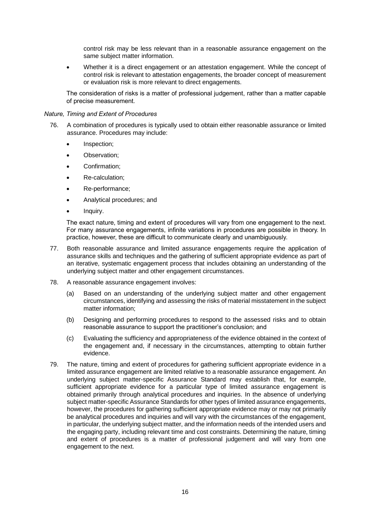control risk may be less relevant than in a reasonable assurance engagement on the same subject matter information.

• Whether it is a direct engagement or an attestation engagement. While the concept of control risk is relevant to attestation engagements, the broader concept of measurement or evaluation risk is more relevant to direct engagements.

The consideration of risks is a matter of professional judgement, rather than a matter capable of precise measurement.

#### *Nature, Timing and Extent of Procedures*

- 76. A combination of procedures is typically used to obtain either reasonable assurance or limited assurance. Procedures may include:
	- Inspection;
	- Observation;
	- Confirmation;
	- Re-calculation;
	- Re-performance:
	- Analytical procedures; and
	- Inquiry.

The exact nature, timing and extent of procedures will vary from one engagement to the next. For many assurance engagements, infinite variations in procedures are possible in theory. In practice, however, these are difficult to communicate clearly and unambiguously.

- 77. Both reasonable assurance and limited assurance engagements require the application of assurance skills and techniques and the gathering of sufficient appropriate evidence as part of an iterative, systematic engagement process that includes obtaining an understanding of the underlying subject matter and other engagement circumstances.
- 78. A reasonable assurance engagement involves:
	- (a) Based on an understanding of the underlying subject matter and other engagement circumstances, identifying and assessing the risks of material misstatement in the subject matter information;
	- (b) Designing and performing procedures to respond to the assessed risks and to obtain reasonable assurance to support the practitioner's conclusion; and
	- (c) Evaluating the sufficiency and appropriateness of the evidence obtained in the context of the engagement and, if necessary in the circumstances, attempting to obtain further evidence.
- 79. The nature, timing and extent of procedures for gathering sufficient appropriate evidence in a limited assurance engagement are limited relative to a reasonable assurance engagement. An underlying subject matter-specific Assurance Standard may establish that, for example, sufficient appropriate evidence for a particular type of limited assurance engagement is obtained primarily through analytical procedures and inquiries. In the absence of underlying subject matter-specific Assurance Standards for other types of limited assurance engagements, however, the procedures for gathering sufficient appropriate evidence may or may not primarily be analytical procedures and inquiries and will vary with the circumstances of the engagement, in particular, the underlying subject matter, and the information needs of the intended users and the engaging party, including relevant time and cost constraints. Determining the nature, timing and extent of procedures is a matter of professional judgement and will vary from one engagement to the next.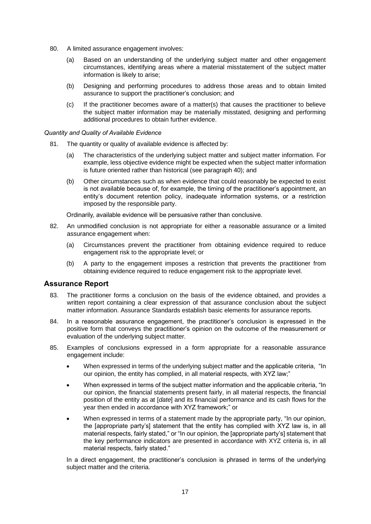- 80. A limited assurance engagement involves:
	- (a) Based on an understanding of the underlying subject matter and other engagement circumstances, identifying areas where a material misstatement of the subject matter information is likely to arise;
	- (b) Designing and performing procedures to address those areas and to obtain limited assurance to support the practitioner's conclusion; and
	- (c) If the practitioner becomes aware of a matter(s) that causes the practitioner to believe the subject matter information may be materially misstated, designing and performing additional procedures to obtain further evidence.

#### *Quantity and Quality of Available Evidence*

- 81. The quantity or quality of available evidence is affected by:
	- (a) The characteristics of the underlying subject matter and subject matter information. For example, less objective evidence might be expected when the subject matter information is future oriented rather than historical (see paragraph 40); and
	- (b) Other circumstances such as when evidence that could reasonably be expected to exist is not available because of, for example, the timing of the practitioner's appointment, an entity's document retention policy, inadequate information systems, or a restriction imposed by the responsible party.

Ordinarily, available evidence will be persuasive rather than conclusive.

- 82. An unmodified conclusion is not appropriate for either a reasonable assurance or a limited assurance engagement when:
	- (a) Circumstances prevent the practitioner from obtaining evidence required to reduce engagement risk to the appropriate level; or
	- (b) A party to the engagement imposes a restriction that prevents the practitioner from obtaining evidence required to reduce engagement risk to the appropriate level.

#### **Assurance Report**

- 83. The practitioner forms a conclusion on the basis of the evidence obtained, and provides a written report containing a clear expression of that assurance conclusion about the subject matter information. Assurance Standards establish basic elements for assurance reports.
- 84. In a reasonable assurance engagement, the practitioner's conclusion is expressed in the positive form that conveys the practitioner's opinion on the outcome of the measurement or evaluation of the underlying subject matter.
- 85. Examples of conclusions expressed in a form appropriate for a reasonable assurance engagement include:
	- When expressed in terms of the underlying subject matter and the applicable criteria, "In our opinion, the entity has complied, in all material respects, with XYZ law;"
	- When expressed in terms of the subject matter information and the applicable criteria, "In our opinion, the financial statements present fairly, in all material respects, the financial position of the entity as at [*date*] and its financial performance and its cash flows for the year then ended in accordance with XYZ framework;" or
	- When expressed in terms of a statement made by the appropriate party, "In our opinion, the [appropriate party's] statement that the entity has complied with XYZ law is, in all material respects, fairly stated," or "In our opinion, the [appropriate party's] statement that the key performance indicators are presented in accordance with XYZ criteria is, in all material respects, fairly stated."

In a direct engagement, the practitioner's conclusion is phrased in terms of the underlying subject matter and the criteria.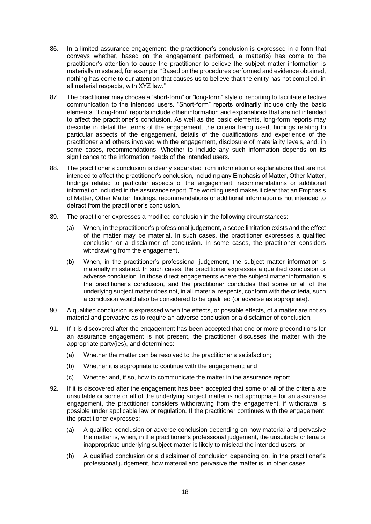- 86. In a limited assurance engagement, the practitioner's conclusion is expressed in a form that conveys whether, based on the engagement performed, a matter(s) has come to the practitioner's attention to cause the practitioner to believe the subject matter information is materially misstated, for example, "Based on the procedures performed and evidence obtained, nothing has come to our attention that causes us to believe that the entity has not complied, in all material respects, with XYZ law."
- 87. The practitioner may choose a "short-form" or "long-form" style of reporting to facilitate effective communication to the intended users. "Short-form" reports ordinarily include only the basic elements. "Long-form" reports include other information and explanations that are not intended to affect the practitioner's conclusion. As well as the basic elements, long-form reports may describe in detail the terms of the engagement, the criteria being used, findings relating to particular aspects of the engagement, details of the qualifications and experience of the practitioner and others involved with the engagement, disclosure of materiality levels, and, in some cases, recommendations. Whether to include any such information depends on its significance to the information needs of the intended users.
- 88. The practitioner's conclusion is clearly separated from information or explanations that are not intended to affect the practitioner's conclusion, including any Emphasis of Matter, Other Matter, findings related to particular aspects of the engagement, recommendations or additional information included in the assurance report. The wording used makes it clear that an Emphasis of Matter, Other Matter, findings, recommendations or additional information is not intended to detract from the practitioner's conclusion.
- 89. The practitioner expresses a modified conclusion in the following circumstances:
	- (a) When, in the practitioner's professional judgement, a scope limitation exists and the effect of the matter may be material. In such cases, the practitioner expresses a qualified conclusion or a disclaimer of conclusion. In some cases, the practitioner considers withdrawing from the engagement.
	- (b) When, in the practitioner's professional judgement, the subject matter information is materially misstated. In such cases, the practitioner expresses a qualified conclusion or adverse conclusion. In those direct engagements where the subject matter information is the practitioner's conclusion, and the practitioner concludes that some or all of the underlying subject matter does not, in all material respects, conform with the criteria, such a conclusion would also be considered to be qualified (or adverse as appropriate).
- 90. A qualified conclusion is expressed when the effects, or possible effects, of a matter are not so material and pervasive as to require an adverse conclusion or a disclaimer of conclusion.
- 91. If it is discovered after the engagement has been accepted that one or more preconditions for an assurance engagement is not present, the practitioner discusses the matter with the appropriate party(ies), and determines:
	- (a) Whether the matter can be resolved to the practitioner's satisfaction;
	- (b) Whether it is appropriate to continue with the engagement; and
	- (c) Whether and, if so, how to communicate the matter in the assurance report.
- 92. If it is discovered after the engagement has been accepted that some or all of the criteria are unsuitable or some or all of the underlying subject matter is not appropriate for an assurance engagement, the practitioner considers withdrawing from the engagement, if withdrawal is possible under applicable law or regulation. If the practitioner continues with the engagement, the practitioner expresses:
	- (a) A qualified conclusion or adverse conclusion depending on how material and pervasive the matter is, when, in the practitioner's professional judgement, the unsuitable criteria or inappropriate underlying subject matter is likely to mislead the intended users; or
	- (b) A qualified conclusion or a disclaimer of conclusion depending on, in the practitioner's professional judgement, how material and pervasive the matter is, in other cases.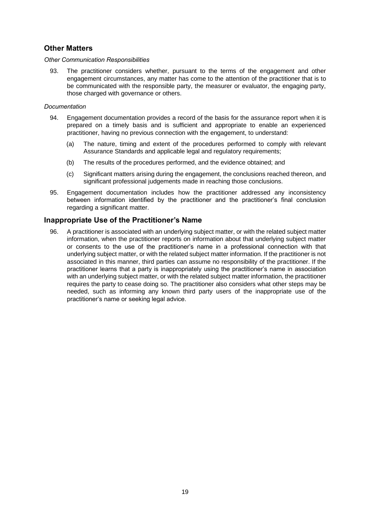## **Other Matters**

#### *Other Communication Responsibilities*

93. The practitioner considers whether, pursuant to the terms of the engagement and other engagement circumstances, any matter has come to the attention of the practitioner that is to be communicated with the responsible party, the measurer or evaluator, the engaging party, those charged with governance or others.

#### *Documentation*

- 94. Engagement documentation provides a record of the basis for the assurance report when it is prepared on a timely basis and is sufficient and appropriate to enable an experienced practitioner, having no previous connection with the engagement, to understand:
	- (a) The nature, timing and extent of the procedures performed to comply with relevant Assurance Standards and applicable legal and regulatory requirements;
	- (b) The results of the procedures performed, and the evidence obtained; and
	- (c) Significant matters arising during the engagement, the conclusions reached thereon, and significant professional judgements made in reaching those conclusions.
- 95. Engagement documentation includes how the practitioner addressed any inconsistency between information identified by the practitioner and the practitioner's final conclusion regarding a significant matter.

#### **Inappropriate Use of the Practitioner's Name**

96. A practitioner is associated with an underlying subject matter, or with the related subject matter information, when the practitioner reports on information about that underlying subject matter or consents to the use of the practitioner's name in a professional connection with that underlying subject matter, or with the related subject matter information. If the practitioner is not associated in this manner, third parties can assume no responsibility of the practitioner. If the practitioner learns that a party is inappropriately using the practitioner's name in association with an underlying subject matter, or with the related subject matter information, the practitioner requires the party to cease doing so. The practitioner also considers what other steps may be needed, such as informing any known third party users of the inappropriate use of the practitioner's name or seeking legal advice.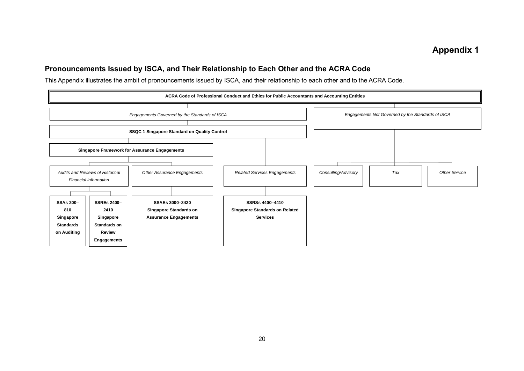## **Appendix 1**

## **Pronouncements Issued by ISCA, and Their Relationship to Each Other and the ACRA Code**

This Appendix illustrates the ambit of pronouncements issued by ISCA, and their relationship to each other and to the ACRA Code.

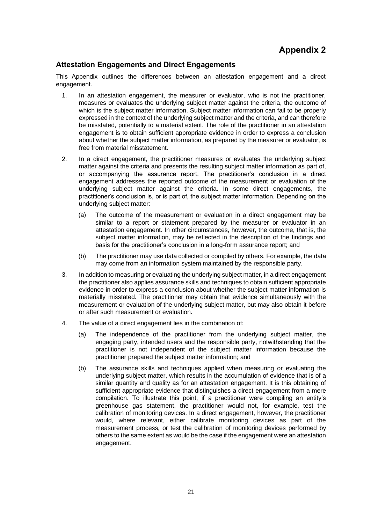## **Attestation Engagements and Direct Engagements**

This Appendix outlines the differences between an attestation engagement and a direct engagement.

- 1. In an attestation engagement, the measurer or evaluator, who is not the practitioner, measures or evaluates the underlying subject matter against the criteria, the outcome of which is the subject matter information. Subject matter information can fail to be properly expressed in the context of the underlying subject matter and the criteria, and can therefore be misstated, potentially to a material extent. The role of the practitioner in an attestation engagement is to obtain sufficient appropriate evidence in order to express a conclusion about whether the subject matter information, as prepared by the measurer or evaluator, is free from material misstatement.
- 2. In a direct engagement, the practitioner measures or evaluates the underlying subject matter against the criteria and presents the resulting subject matter information as part of, or accompanying the assurance report. The practitioner's conclusion in a direct engagement addresses the reported outcome of the measurement or evaluation of the underlying subject matter against the criteria. In some direct engagements, the practitioner's conclusion is, or is part of, the subject matter information. Depending on the underlying subject matter:
	- (a) The outcome of the measurement or evaluation in a direct engagement may be similar to a report or statement prepared by the measurer or evaluator in an attestation engagement. In other circumstances, however, the outcome, that is, the subject matter information, may be reflected in the description of the findings and basis for the practitioner's conclusion in a long-form assurance report; and
	- (b) The practitioner may use data collected or compiled by others. For example, the data may come from an information system maintained by the responsible party.
- 3. In addition to measuring or evaluating the underlying subject matter, in a direct engagement the practitioner also applies assurance skills and techniques to obtain sufficient appropriate evidence in order to express a conclusion about whether the subject matter information is materially misstated. The practitioner may obtain that evidence simultaneously with the measurement or evaluation of the underlying subject matter, but may also obtain it before or after such measurement or evaluation.
- 4. The value of a direct engagement lies in the combination of:
	- (a) The independence of the practitioner from the underlying subject matter, the engaging party, intended users and the responsible party, notwithstanding that the practitioner is not independent of the subject matter information because the practitioner prepared the subject matter information; and
	- (b) The assurance skills and techniques applied when measuring or evaluating the underlying subject matter, which results in the accumulation of evidence that is of a similar quantity and quality as for an attestation engagement. It is this obtaining of sufficient appropriate evidence that distinguishes a direct engagement from a mere compilation. To illustrate this point, if a practitioner were compiling an entity's greenhouse gas statement, the practitioner would not, for example, test the calibration of monitoring devices. In a direct engagement, however, the practitioner would, where relevant, either calibrate monitoring devices as part of the measurement process, or test the calibration of monitoring devices performed by others to the same extent as would be the case if the engagement were an attestation engagement.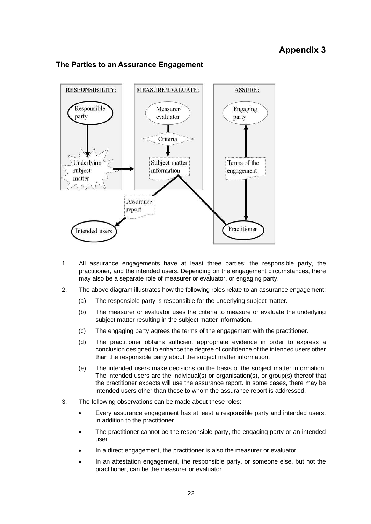## **Appendix 3**



### **The Parties to an Assurance Engagement**

- 1. All assurance engagements have at least three parties: the responsible party, the practitioner, and the intended users. Depending on the engagement circumstances, there may also be a separate role of measurer or evaluator, or engaging party.
- 2. The above diagram illustrates how the following roles relate to an assurance engagement:
	- (a) The responsible party is responsible for the underlying subject matter.
	- (b) The measurer or evaluator uses the criteria to measure or evaluate the underlying subject matter resulting in the subject matter information.
	- (c) The engaging party agrees the terms of the engagement with the practitioner.
	- (d) The practitioner obtains sufficient appropriate evidence in order to express a conclusion designed to enhance the degree of confidence of the intended users other than the responsible party about the subject matter information.
	- (e) The intended users make decisions on the basis of the subject matter information. The intended users are the individual(s) or organisation(s), or group(s) thereof that the practitioner expects will use the assurance report. In some cases, there may be intended users other than those to whom the assurance report is addressed.
- 3. The following observations can be made about these roles:
	- Every assurance engagement has at least a responsible party and intended users, in addition to the practitioner.
	- The practitioner cannot be the responsible party, the engaging party or an intended user.
	- In a direct engagement, the practitioner is also the measurer or evaluator.
	- In an attestation engagement, the responsible party, or someone else, but not the practitioner, can be the measurer or evaluator.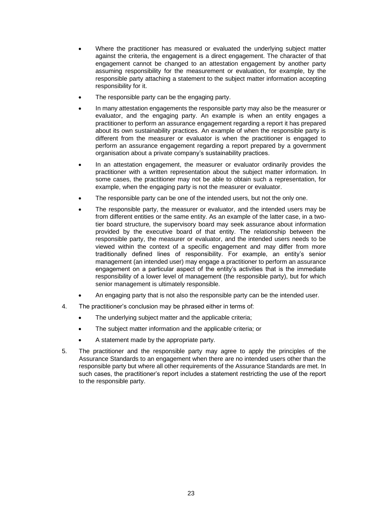- Where the practitioner has measured or evaluated the underlying subject matter against the criteria, the engagement is a direct engagement. The character of that engagement cannot be changed to an attestation engagement by another party assuming responsibility for the measurement or evaluation, for example, by the responsible party attaching a statement to the subject matter information accepting responsibility for it.
- The responsible party can be the engaging party.
- In many attestation engagements the responsible party may also be the measurer or evaluator, and the engaging party. An example is when an entity engages a practitioner to perform an assurance engagement regarding a report it has prepared about its own sustainability practices. An example of when the responsible party is different from the measurer or evaluator is when the practitioner is engaged to perform an assurance engagement regarding a report prepared by a government organisation about a private company's sustainability practices.
- In an attestation engagement, the measurer or evaluator ordinarily provides the practitioner with a written representation about the subject matter information. In some cases, the practitioner may not be able to obtain such a representation, for example, when the engaging party is not the measurer or evaluator.
- The responsible party can be one of the intended users, but not the only one.
- The responsible party, the measurer or evaluator, and the intended users may be from different entities or the same entity. As an example of the latter case, in a twotier board structure, the supervisory board may seek assurance about information provided by the executive board of that entity. The relationship between the responsible party, the measurer or evaluator, and the intended users needs to be viewed within the context of a specific engagement and may differ from more traditionally defined lines of responsibility. For example, an entity's senior management (an intended user) may engage a practitioner to perform an assurance engagement on a particular aspect of the entity's activities that is the immediate responsibility of a lower level of management (the responsible party), but for which senior management is ultimately responsible.
- An engaging party that is not also the responsible party can be the intended user.
- 4. The practitioner's conclusion may be phrased either in terms of:
	- The underlying subject matter and the applicable criteria;
	- The subject matter information and the applicable criteria; or
	- A statement made by the appropriate party.
- 5. The practitioner and the responsible party may agree to apply the principles of the Assurance Standards to an engagement when there are no intended users other than the responsible party but where all other requirements of the Assurance Standards are met. In such cases, the practitioner's report includes a statement restricting the use of the report to the responsible party.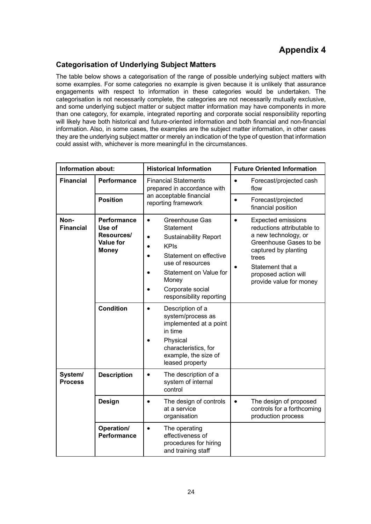# **Appendix 4**

## **Categorisation of Underlying Subject Matters**

The table below shows a categorisation of the range of possible underlying subject matters with some examples. For some categories no example is given because it is unlikely that assurance engagements with respect to information in these categories would be undertaken. The categorisation is not necessarily complete, the categories are not necessarily mutually exclusive, and some underlying subject matter or subject matter information may have components in more than one category, for example, integrated reporting and corporate social responsibility reporting will likely have both historical and future-oriented information and both financial and non-financial information. Also, in some cases, the examples are the subject matter information, in other cases they are the underlying subject matter or merely an indication of the type of question that information could assist with, whichever is more meaningful in the circumstances.

| <b>Information about:</b> |                                                                         | <b>Historical Information</b>                                                                                                                                                                                                                                                       | <b>Future Oriented Information</b>                                                                                                                                                                                             |
|---------------------------|-------------------------------------------------------------------------|-------------------------------------------------------------------------------------------------------------------------------------------------------------------------------------------------------------------------------------------------------------------------------------|--------------------------------------------------------------------------------------------------------------------------------------------------------------------------------------------------------------------------------|
| <b>Financial</b>          | Performance                                                             | <b>Financial Statements</b><br>prepared in accordance with<br>an acceptable financial<br>reporting framework                                                                                                                                                                        | $\bullet$<br>Forecast/projected cash<br>flow                                                                                                                                                                                   |
|                           | <b>Position</b>                                                         |                                                                                                                                                                                                                                                                                     | $\bullet$<br>Forecast/projected<br>financial position                                                                                                                                                                          |
| Non-<br><b>Financial</b>  | Performance<br>Use of<br>Resources/<br><b>Value for</b><br><b>Money</b> | Greenhouse Gas<br>$\bullet$<br><b>Statement</b><br><b>Sustainability Report</b><br>$\bullet$<br><b>KPIs</b><br>$\bullet$<br>Statement on effective<br>$\bullet$<br>use of resources<br>Statement on Value for<br>Money<br>Corporate social<br>$\bullet$<br>responsibility reporting | <b>Expected emissions</b><br>$\bullet$<br>reductions attributable to<br>a new technology, or<br>Greenhouse Gases to be<br>captured by planting<br>trees<br>Statement that a<br>proposed action will<br>provide value for money |
|                           | <b>Condition</b>                                                        | Description of a<br>$\bullet$<br>system/process as<br>implemented at a point<br>in time<br>Physical<br>$\bullet$<br>characteristics, for<br>example, the size of<br>leased property                                                                                                 |                                                                                                                                                                                                                                |
| System/<br><b>Process</b> | <b>Description</b>                                                      | The description of a<br>$\bullet$<br>system of internal<br>control                                                                                                                                                                                                                  |                                                                                                                                                                                                                                |
|                           | <b>Design</b>                                                           | The design of controls<br>$\bullet$<br>at a service<br>organisation                                                                                                                                                                                                                 | $\bullet$<br>The design of proposed<br>controls for a forthcoming<br>production process                                                                                                                                        |
|                           | Operation/<br><b>Performance</b>                                        | The operating<br>$\bullet$<br>effectiveness of<br>procedures for hiring<br>and training staff                                                                                                                                                                                       |                                                                                                                                                                                                                                |